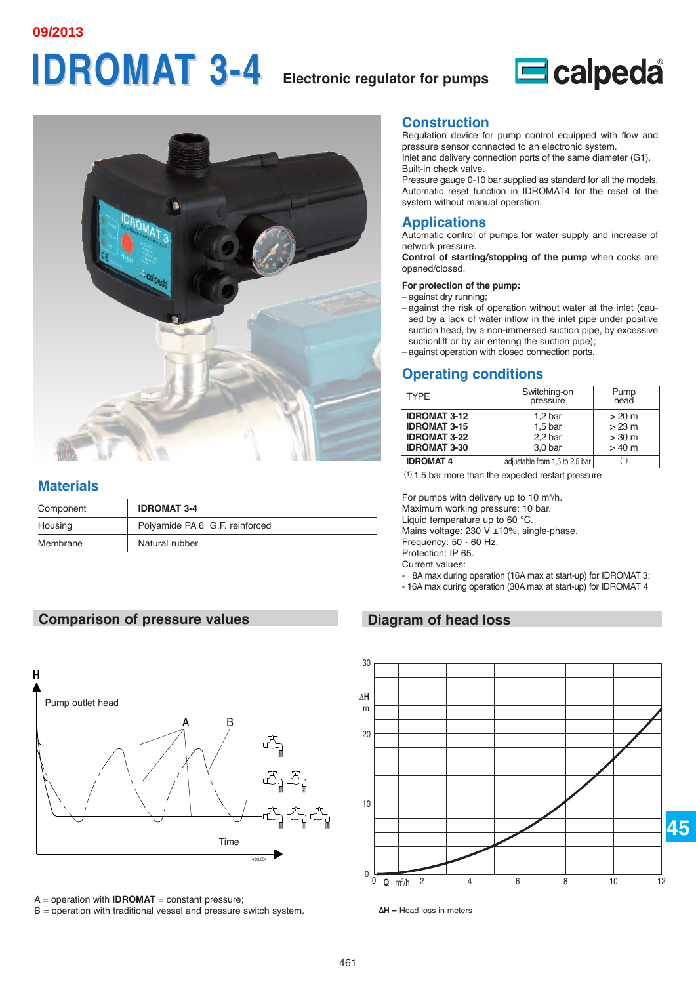**09/2013**

# **IDROMAT 3-4 IDROMAT 3-4 Electronic regulator for pumps**





#### **Materials**

| Component | <b>IDROMAT 3-4</b>             |
|-----------|--------------------------------|
| Housing   | Polyamide PA 6 G.F. reinforced |
| Membrane  | Natural rubber                 |

#### **Comparison of pressure values**



 $A =$  operation with **IDROMAT** = constant pressure;

 $B =$  operation with traditional vessel and pressure switch system.

#### **Construction**

Regulation device for pump control equipped with flow and pressure sensor connected to an electronic system. Inlet and delivery connection ports of the same diameter (G1).

Built-in check valve. Pressure gauge 0-10 bar supplied as standard for all the models. Automatic reset function in IDROMAT4 for the reset of the

### **Applications**

system without manual operation.

Automatic control of pumps for water supply and increase of network pressure.

**Control of starting/stopping of the pump** when cocks are opened/closed.

#### **For protection of the pump:**

- against dry running;
- against the risk of operation without water at the inlet (caused by a lack of water inflow in the inlet pipe under positive suction head, by a non-immersed suction pipe, by excessive suctionlift or by air entering the suction pipe);
- against operation with closed connection ports.

# **Operating conditions**

| <b>TYPF</b>         | Switching-on<br>pressure       | Pump<br>head |
|---------------------|--------------------------------|--------------|
| <b>IDROMAT 3-12</b> | 1.2 <sub>bar</sub>             | >20 m        |
| <b>IDROMAT 3-15</b> | 1.5 <sub>bar</sub>             | $>23$ m      |
| <b>IDROMAT 3-22</b> | 2.2 <sub>bar</sub>             | >30 m        |
| <b>IDROMAT 3-30</b> | 3.0 <sub>bar</sub>             | >40 m        |
| <b>IDROMAT 4</b>    | adjustable from 1.5 to 2.5 bar | (1)          |

(1) 1,5 bar more than the expected restart pressure

For pumps with delivery up to 10  $\text{m}^3/\text{h}$ . Maximum working pressure: 10 bar.

Liquid temperature up to 60 °C. Mains voltage: 230 V ±10%, single-phase.

Frequency: 50 - 60 Hz.

Protection: IP 65.

Current values:

- 8A max during operation (16A max at start-up) for IDROMAT 3;
- 16A max during operation (30A max at start-up) for IDROMAT 4

### **Diagram of head loss**



**<sup>∆</sup>H** = Head loss in meters